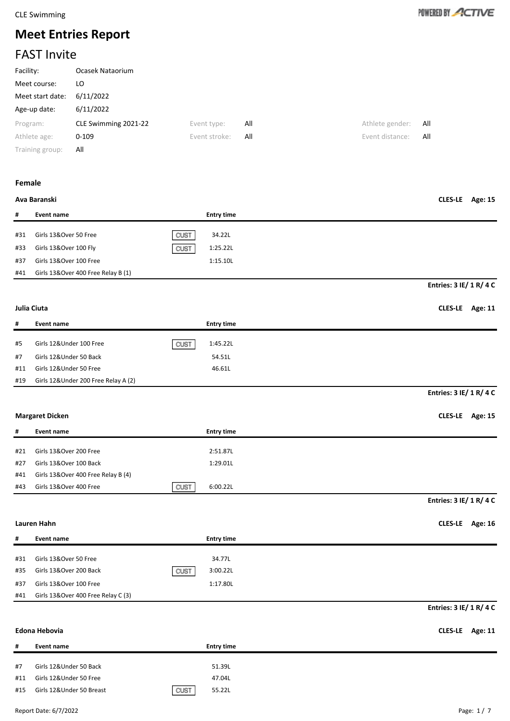

# **Meet Entries Report**

# FAST Invite

| Facility:        | Ocasek Nataorium     |               |     |                 |     |
|------------------|----------------------|---------------|-----|-----------------|-----|
| Meet course:     | LO                   |               |     |                 |     |
| Meet start date: | 6/11/2022            |               |     |                 |     |
| Age-up date:     | 6/11/2022            |               |     |                 |     |
| Program:         | CLE Swimming 2021-22 | Event type:   | All | Athlete gender: | All |
| Athlete age:     | $0 - 109$            | Event stroke: | All | Event distance: | All |
| Training group:  | All                  |               |     |                 |     |

### **Female**

### **Ava Baranski CLES-LE Age: 15**

| #   | Event name                         |      | <b>Entry time</b> |
|-----|------------------------------------|------|-------------------|
| #31 | Girls 13&Over 50 Free              | CUST | 34.22L            |
| #33 | Girls 13&Over 100 Fly              | CUST | 1:25.22L          |
| #37 | Girls 13&Over 100 Free             |      | 1:15.10L          |
| #41 | Girls 13&Over 400 Free Relay B (1) |      |                   |

### **Julia Ciuta CLES-LE Age: 11**

| #   | Event name                          |      | <b>Entry time</b> |
|-----|-------------------------------------|------|-------------------|
| #5  | Girls 12&Under 100 Free             | CUST | 1:45.22L          |
| #7  | Girls 12&Under 50 Back              |      | 54.51L            |
| #11 | Girls 12&Under 50 Free              |      | 46.61L            |
| #19 | Girls 12&Under 200 Free Relay A (2) |      |                   |

### **Margaret Dicken CLES-LE Age: 15**

| #   | Event name                         | <b>Entry time</b> |
|-----|------------------------------------|-------------------|
|     |                                    |                   |
| #21 | Girls 13&Over 200 Free             | 2:51.87L          |
| #27 | Girls 13&Over 100 Back             | 1:29.01L          |
| #41 | Girls 13&Over 400 Free Relay B (4) |                   |
| #43 | Girls 13&Over 400 Free<br>CUST     | 6:00.22L          |

## **Entries: 3 IE/ 1 R/ 4 C**

**Entries: 3 IE/ 1 R/ 4 C**

**Entries: 3 IE/ 1 R/ 4 C**

**Lauren Hahn CLES-LE Age: 16**

| #   | Event name                         | <b>Entry time</b> |
|-----|------------------------------------|-------------------|
|     |                                    |                   |
| #31 | Girls 13&Over 50 Free              | 34.77L            |
| #35 | CUST<br>Girls 13&Over 200 Back     | 3:00.22L          |
| #37 | Girls 13&Over 100 Free             | 1:17.80L          |
| #41 | Girls 13&Over 400 Free Relay C (3) |                   |

# **Entries: 3 IE/ 1 R/ 4 C**

# **Edona Hebovia CLES-LE Age: 11 # Event name Entry time** #7 Girls 12&Under 50 Back 51.39L #11 Girls 12&Under 50 Free 47.04L #15 Girls 12&Under 50 Breast GUST 65.22L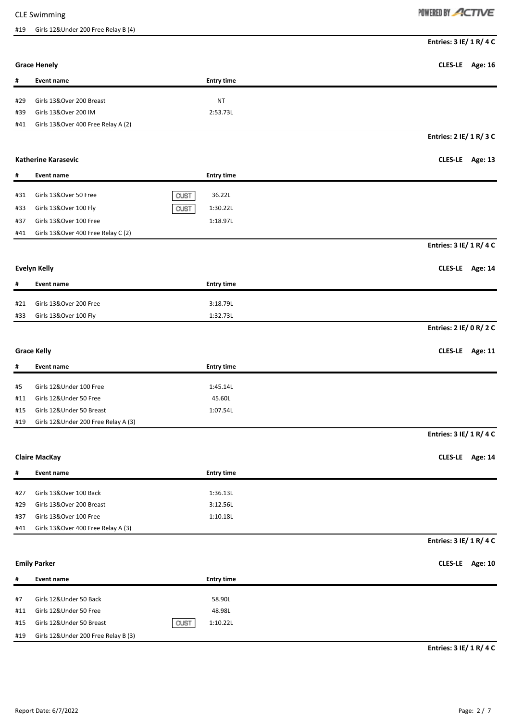# #19 Girls 12&Under 200 Free Relay B (4)

# POWERED BY ACTIVE

| <b>Grace Henely</b><br><b>Event name</b><br><b>Entry time</b><br>#<br>Girls 13&Over 200 Breast<br><b>NT</b><br>#29<br>Girls 13&Over 200 IM<br>2:53.73L<br>#39<br>Girls 13&Over 400 Free Relay A (2)<br>#41<br><b>Katherine Karasevic</b><br>#<br><b>Entry time</b><br><b>Event name</b><br>Girls 13&Over 50 Free<br>CUST<br>36.22L<br>#31<br>Girls 13&Over 100 Fly<br>1:30.22L<br>CUST<br>#33<br>Girls 13&Over 100 Free<br>1:18.97L<br>#37<br>Girls 13&Over 400 Free Relay C (2)<br>#41<br><b>Evelyn Kelly</b><br>CLES-LE Age: 14<br><b>Entry time</b><br>#<br><b>Event name</b><br>Girls 13&Over 200 Free<br>3:18.79L<br>#21<br>Girls 13&Over 100 Fly<br>1:32.73L<br>#33<br><b>Grace Kelly</b><br><b>Entry time</b><br>#<br><b>Event name</b><br>Girls 12&Under 100 Free<br>1:45.14L<br>#5<br>Girls 12&Under 50 Free<br>45.60L<br>#11<br>Girls 12&Under 50 Breast<br>1:07.54L<br>#15<br>#19<br>Girls 12&Under 200 Free Relay A (3)<br><b>Claire MacKay</b><br>CLES-LE Age: 14<br><b>Entry time</b><br>#<br>Event name<br>Girls 13&Over 100 Back<br>1:36.13L<br>#27<br>Girls 13&Over 200 Breast<br>3:12.56L<br>#29<br>Girls 13&Over 100 Free<br>1:10.18L<br>#37<br>Girls 13&Over 400 Free Relay A (3)<br>#41<br>Entries: 3 IE/ 1 R/ 4 C<br><b>Emily Parker</b><br>#<br><b>Event name</b><br><b>Entry time</b><br>Girls 12&Under 50 Back<br>58.90L<br>#7 |     |                        |        | Entries: 3 IE/ 1 R/ 4 C |
|---------------------------------------------------------------------------------------------------------------------------------------------------------------------------------------------------------------------------------------------------------------------------------------------------------------------------------------------------------------------------------------------------------------------------------------------------------------------------------------------------------------------------------------------------------------------------------------------------------------------------------------------------------------------------------------------------------------------------------------------------------------------------------------------------------------------------------------------------------------------------------------------------------------------------------------------------------------------------------------------------------------------------------------------------------------------------------------------------------------------------------------------------------------------------------------------------------------------------------------------------------------------------------------------------------------------------------------------------------|-----|------------------------|--------|-------------------------|
|                                                                                                                                                                                                                                                                                                                                                                                                                                                                                                                                                                                                                                                                                                                                                                                                                                                                                                                                                                                                                                                                                                                                                                                                                                                                                                                                                         |     |                        |        | CLES-LE Age: 16         |
|                                                                                                                                                                                                                                                                                                                                                                                                                                                                                                                                                                                                                                                                                                                                                                                                                                                                                                                                                                                                                                                                                                                                                                                                                                                                                                                                                         |     |                        |        |                         |
|                                                                                                                                                                                                                                                                                                                                                                                                                                                                                                                                                                                                                                                                                                                                                                                                                                                                                                                                                                                                                                                                                                                                                                                                                                                                                                                                                         |     |                        |        |                         |
|                                                                                                                                                                                                                                                                                                                                                                                                                                                                                                                                                                                                                                                                                                                                                                                                                                                                                                                                                                                                                                                                                                                                                                                                                                                                                                                                                         |     |                        |        |                         |
|                                                                                                                                                                                                                                                                                                                                                                                                                                                                                                                                                                                                                                                                                                                                                                                                                                                                                                                                                                                                                                                                                                                                                                                                                                                                                                                                                         |     |                        |        |                         |
|                                                                                                                                                                                                                                                                                                                                                                                                                                                                                                                                                                                                                                                                                                                                                                                                                                                                                                                                                                                                                                                                                                                                                                                                                                                                                                                                                         |     |                        |        | Entries: 2 IE/ 1 R/ 3 C |
|                                                                                                                                                                                                                                                                                                                                                                                                                                                                                                                                                                                                                                                                                                                                                                                                                                                                                                                                                                                                                                                                                                                                                                                                                                                                                                                                                         |     |                        |        | CLES-LE Age: 13         |
|                                                                                                                                                                                                                                                                                                                                                                                                                                                                                                                                                                                                                                                                                                                                                                                                                                                                                                                                                                                                                                                                                                                                                                                                                                                                                                                                                         |     |                        |        |                         |
|                                                                                                                                                                                                                                                                                                                                                                                                                                                                                                                                                                                                                                                                                                                                                                                                                                                                                                                                                                                                                                                                                                                                                                                                                                                                                                                                                         |     |                        |        |                         |
|                                                                                                                                                                                                                                                                                                                                                                                                                                                                                                                                                                                                                                                                                                                                                                                                                                                                                                                                                                                                                                                                                                                                                                                                                                                                                                                                                         |     |                        |        |                         |
|                                                                                                                                                                                                                                                                                                                                                                                                                                                                                                                                                                                                                                                                                                                                                                                                                                                                                                                                                                                                                                                                                                                                                                                                                                                                                                                                                         |     |                        |        |                         |
|                                                                                                                                                                                                                                                                                                                                                                                                                                                                                                                                                                                                                                                                                                                                                                                                                                                                                                                                                                                                                                                                                                                                                                                                                                                                                                                                                         |     |                        |        |                         |
|                                                                                                                                                                                                                                                                                                                                                                                                                                                                                                                                                                                                                                                                                                                                                                                                                                                                                                                                                                                                                                                                                                                                                                                                                                                                                                                                                         |     |                        |        | Entries: 3 IE/ 1 R/ 4 C |
|                                                                                                                                                                                                                                                                                                                                                                                                                                                                                                                                                                                                                                                                                                                                                                                                                                                                                                                                                                                                                                                                                                                                                                                                                                                                                                                                                         |     |                        |        |                         |
|                                                                                                                                                                                                                                                                                                                                                                                                                                                                                                                                                                                                                                                                                                                                                                                                                                                                                                                                                                                                                                                                                                                                                                                                                                                                                                                                                         |     |                        |        |                         |
|                                                                                                                                                                                                                                                                                                                                                                                                                                                                                                                                                                                                                                                                                                                                                                                                                                                                                                                                                                                                                                                                                                                                                                                                                                                                                                                                                         |     |                        |        |                         |
|                                                                                                                                                                                                                                                                                                                                                                                                                                                                                                                                                                                                                                                                                                                                                                                                                                                                                                                                                                                                                                                                                                                                                                                                                                                                                                                                                         |     |                        |        |                         |
|                                                                                                                                                                                                                                                                                                                                                                                                                                                                                                                                                                                                                                                                                                                                                                                                                                                                                                                                                                                                                                                                                                                                                                                                                                                                                                                                                         |     |                        |        |                         |
|                                                                                                                                                                                                                                                                                                                                                                                                                                                                                                                                                                                                                                                                                                                                                                                                                                                                                                                                                                                                                                                                                                                                                                                                                                                                                                                                                         |     |                        |        | Entries: 2 IE/ 0 R/ 2 C |
|                                                                                                                                                                                                                                                                                                                                                                                                                                                                                                                                                                                                                                                                                                                                                                                                                                                                                                                                                                                                                                                                                                                                                                                                                                                                                                                                                         |     |                        |        | CLES-LE Age: 11         |
|                                                                                                                                                                                                                                                                                                                                                                                                                                                                                                                                                                                                                                                                                                                                                                                                                                                                                                                                                                                                                                                                                                                                                                                                                                                                                                                                                         |     |                        |        |                         |
|                                                                                                                                                                                                                                                                                                                                                                                                                                                                                                                                                                                                                                                                                                                                                                                                                                                                                                                                                                                                                                                                                                                                                                                                                                                                                                                                                         |     |                        |        |                         |
|                                                                                                                                                                                                                                                                                                                                                                                                                                                                                                                                                                                                                                                                                                                                                                                                                                                                                                                                                                                                                                                                                                                                                                                                                                                                                                                                                         |     |                        |        |                         |
|                                                                                                                                                                                                                                                                                                                                                                                                                                                                                                                                                                                                                                                                                                                                                                                                                                                                                                                                                                                                                                                                                                                                                                                                                                                                                                                                                         |     |                        |        |                         |
|                                                                                                                                                                                                                                                                                                                                                                                                                                                                                                                                                                                                                                                                                                                                                                                                                                                                                                                                                                                                                                                                                                                                                                                                                                                                                                                                                         |     |                        |        |                         |
|                                                                                                                                                                                                                                                                                                                                                                                                                                                                                                                                                                                                                                                                                                                                                                                                                                                                                                                                                                                                                                                                                                                                                                                                                                                                                                                                                         |     |                        |        | Entries: 3 IE/ 1 R/ 4 C |
|                                                                                                                                                                                                                                                                                                                                                                                                                                                                                                                                                                                                                                                                                                                                                                                                                                                                                                                                                                                                                                                                                                                                                                                                                                                                                                                                                         |     |                        |        |                         |
|                                                                                                                                                                                                                                                                                                                                                                                                                                                                                                                                                                                                                                                                                                                                                                                                                                                                                                                                                                                                                                                                                                                                                                                                                                                                                                                                                         |     |                        |        |                         |
|                                                                                                                                                                                                                                                                                                                                                                                                                                                                                                                                                                                                                                                                                                                                                                                                                                                                                                                                                                                                                                                                                                                                                                                                                                                                                                                                                         |     |                        |        |                         |
|                                                                                                                                                                                                                                                                                                                                                                                                                                                                                                                                                                                                                                                                                                                                                                                                                                                                                                                                                                                                                                                                                                                                                                                                                                                                                                                                                         |     |                        |        |                         |
|                                                                                                                                                                                                                                                                                                                                                                                                                                                                                                                                                                                                                                                                                                                                                                                                                                                                                                                                                                                                                                                                                                                                                                                                                                                                                                                                                         |     |                        |        |                         |
|                                                                                                                                                                                                                                                                                                                                                                                                                                                                                                                                                                                                                                                                                                                                                                                                                                                                                                                                                                                                                                                                                                                                                                                                                                                                                                                                                         |     |                        |        |                         |
|                                                                                                                                                                                                                                                                                                                                                                                                                                                                                                                                                                                                                                                                                                                                                                                                                                                                                                                                                                                                                                                                                                                                                                                                                                                                                                                                                         |     |                        |        |                         |
|                                                                                                                                                                                                                                                                                                                                                                                                                                                                                                                                                                                                                                                                                                                                                                                                                                                                                                                                                                                                                                                                                                                                                                                                                                                                                                                                                         |     |                        |        |                         |
|                                                                                                                                                                                                                                                                                                                                                                                                                                                                                                                                                                                                                                                                                                                                                                                                                                                                                                                                                                                                                                                                                                                                                                                                                                                                                                                                                         |     |                        |        | CLES-LE Age: 10         |
|                                                                                                                                                                                                                                                                                                                                                                                                                                                                                                                                                                                                                                                                                                                                                                                                                                                                                                                                                                                                                                                                                                                                                                                                                                                                                                                                                         |     |                        |        |                         |
|                                                                                                                                                                                                                                                                                                                                                                                                                                                                                                                                                                                                                                                                                                                                                                                                                                                                                                                                                                                                                                                                                                                                                                                                                                                                                                                                                         |     |                        |        |                         |
|                                                                                                                                                                                                                                                                                                                                                                                                                                                                                                                                                                                                                                                                                                                                                                                                                                                                                                                                                                                                                                                                                                                                                                                                                                                                                                                                                         | #11 | Girls 12&Under 50 Free | 48.98L |                         |
| Girls 12&Under 50 Breast<br>CUST<br>1:10.22L<br>#15                                                                                                                                                                                                                                                                                                                                                                                                                                                                                                                                                                                                                                                                                                                                                                                                                                                                                                                                                                                                                                                                                                                                                                                                                                                                                                     |     |                        |        |                         |
| #19<br>Girls 12& Under 200 Free Relay B (3)                                                                                                                                                                                                                                                                                                                                                                                                                                                                                                                                                                                                                                                                                                                                                                                                                                                                                                                                                                                                                                                                                                                                                                                                                                                                                                             |     |                        |        |                         |

**Entries: 3 IE/ 1 R/ 4 C**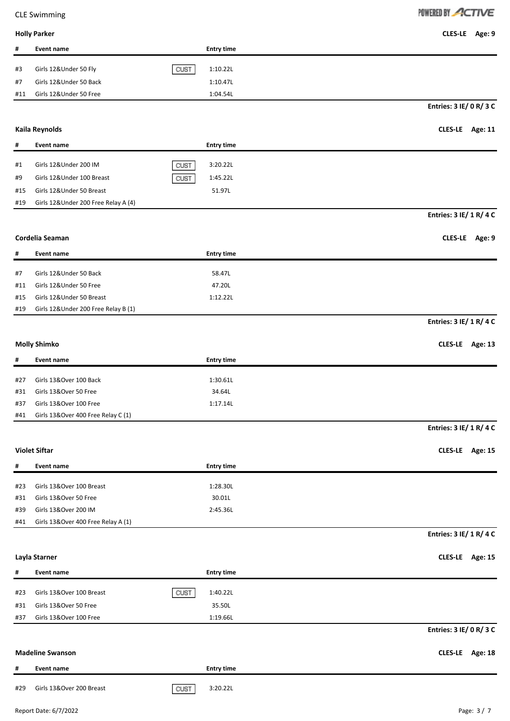|  | POWERED BY ACTIVE |
|--|-------------------|
|--|-------------------|

**Holly Parker CLES-LE Age: 9**

| #          | <b>Event name</b>                   | <b>Entry time</b> |                         |
|------------|-------------------------------------|-------------------|-------------------------|
| #3         | Girls 12&Under 50 Fly               | CUST<br>1:10.22L  |                         |
| #7         | Girls 12&Under 50 Back              | 1:10.47L          |                         |
| #11        | Girls 12&Under 50 Free              | 1:04.54L          |                         |
|            |                                     |                   | Entries: 3 IE/ 0 R/ 3 C |
|            | Kaila Reynolds                      |                   | CLES-LE Age: 11         |
|            |                                     |                   |                         |
| #          | <b>Event name</b>                   | <b>Entry time</b> |                         |
| #1         | Girls 12&Under 200 IM               | CUST<br>3:20.22L  |                         |
| #9         | Girls 12&Under 100 Breast           | CUST<br>1:45.22L  |                         |
| #15        | Girls 12&Under 50 Breast            | 51.97L            |                         |
| #19        | Girls 12&Under 200 Free Relay A (4) |                   |                         |
|            |                                     |                   | Entries: 3 IE/ 1 R/ 4 C |
|            | Cordelia Seaman                     |                   | CLES-LE Age: 9          |
|            |                                     |                   |                         |
| #          | <b>Event name</b>                   | <b>Entry time</b> |                         |
| #7         | Girls 12&Under 50 Back              | 58.47L            |                         |
| #11        | Girls 12&Under 50 Free              | 47.20L            |                         |
| #15        | Girls 12&Under 50 Breast            | 1:12.22L          |                         |
| #19        | Girls 12&Under 200 Free Relay B (1) |                   |                         |
|            |                                     |                   | Entries: 3 IE/ 1 R/ 4 C |
|            |                                     |                   |                         |
|            | <b>Molly Shimko</b>                 |                   | CLES-LE Age: 13         |
| #          | <b>Event name</b>                   | <b>Entry time</b> |                         |
| #27        | Girls 13&Over 100 Back              | 1:30.61L          |                         |
| #31        | Girls 13&Over 50 Free               | 34.64L            |                         |
| #37        | Girls 13&Over 100 Free              | 1:17.14L          |                         |
| #41        | Girls 13&Over 400 Free Relay C (1)  |                   |                         |
|            |                                     |                   | Entries: 3 IE/ 1 R/ 4 C |
|            | <b>Violet Siftar</b>                |                   | CLES-LE Age: 15         |
|            |                                     |                   |                         |
| #          | <b>Event name</b>                   | <b>Entry time</b> |                         |
| #23        | Girls 13&Over 100 Breast            | 1:28.30L          |                         |
| #31        | Girls 13&Over 50 Free               | 30.01L            |                         |
| #39        | Girls 13&Over 200 IM                | 2:45.36L          |                         |
| #41        | Girls 13&Over 400 Free Relay A (1)  |                   |                         |
|            |                                     |                   | Entries: 3 IE/ 1 R/ 4 C |
|            | Layla Starner                       |                   | CLES-LE Age: 15         |
| #          | <b>Event name</b>                   | <b>Entry time</b> |                         |
| #23        | Girls 13&Over 100 Breast            | CUST<br>1:40.22L  |                         |
|            | Girls 13&Over 50 Free               | 35.50L            |                         |
| #31<br>#37 | Girls 13&Over 100 Free              | 1:19.66L          |                         |
|            |                                     |                   | Entries: 3 IE/ 0 R/ 3 C |
|            |                                     |                   |                         |
|            | <b>Madeline Swanson</b>             |                   | CLES-LE Age: 18         |
| #          | <b>Event name</b>                   | <b>Entry time</b> |                         |
| #29        | Girls 13&Over 200 Breast            | 3:20.22L<br>CUST  |                         |
|            |                                     |                   |                         |
|            | Report Date: 6/7/2022               |                   | Page: 3/7               |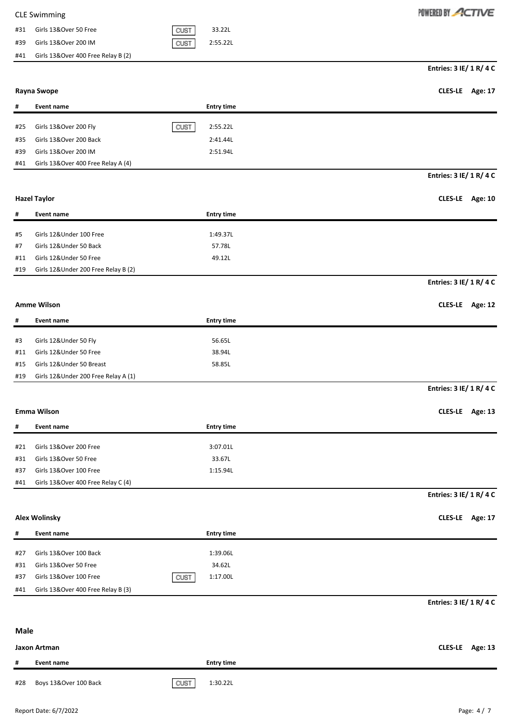| <b>CLE Swimming</b>                       |      |          |
|-------------------------------------------|------|----------|
| Girls 13&Over 50 Free<br>#31              | CUST | 33.22L   |
| Girls 13&Over 200 IM<br>#39               | CUST | 2:55.22L |
| Girls 13&Over 400 Free Relay B (2)<br>#41 |      |          |

POWERED BY ACTIVE

**Entries: 3 IE/ 1 R/ 4 C**

**Entries: 3 IE/ 1 R/ 4 C**

# **Rayna Swope CLES-LE Age: 17**

| #   | Event name                         |             | <b>Entry time</b> |
|-----|------------------------------------|-------------|-------------------|
| #25 | Girls 13&Over 200 Fly              | <b>CUST</b> | 2:55.22L          |
|     |                                    |             |                   |
| #35 | Girls 13&Over 200 Back             |             | 2:41.44L          |
| #39 | Girls 13&Over 200 IM               |             | 2:51.94L          |
| #41 | Girls 13&Over 400 Free Relay A (4) |             |                   |

### **Hazel Taylor CLES-LE Age: 10**

| #   | Event name                           | <b>Entry time</b> |
|-----|--------------------------------------|-------------------|
|     |                                      |                   |
| #5  | Girls 12&Under 100 Free              | 1:49.37L          |
| #7  | Girls 12&Under 50 Back               | 57.78L            |
| #11 | Girls 12&Under 50 Free               | 49.12L            |
| #19 | Girls 12& Under 200 Free Relay B (2) |                   |

### **Entries: 3 IE/ 1 R/ 4 C**

**Entries: 3 IE/ 1 R/ 4 C**

# **Amme Wilson CLES-LE Age: 12**

| #   | Event name                          | <b>Entry time</b> |
|-----|-------------------------------------|-------------------|
|     |                                     |                   |
| #3  | Girls 12&Under 50 Fly               | 56.65L            |
| #11 | Girls 12&Under 50 Free              | 38.94L            |
|     | #15 Girls 12&Under 50 Breast        | 58.85L            |
| #19 | Girls 12&Under 200 Free Relay A (1) |                   |

### **Emma Wilson CLES-LE Age: 13**

| #   | Event name                         | <b>Entry time</b> |
|-----|------------------------------------|-------------------|
|     |                                    |                   |
| #21 | Girls 13&Over 200 Free             | 3:07.01L          |
| #31 | Girls 13&Over 50 Free              | 33.67L            |
| #37 | Girls 13&Over 100 Free             | 1:15.94L          |
| #41 | Girls 13&Over 400 Free Relay C (4) |                   |

# **Entries: 3 IE/ 1 R/ 4 C**

**Alex Wolinsky CLES-LE Age: 17**

| #   | Event name                         |      | <b>Entry time</b> |
|-----|------------------------------------|------|-------------------|
|     |                                    |      |                   |
| #27 | Girls 13&Over 100 Back             |      | 1:39.06L          |
| #31 | Girls 13&Over 50 Free              |      | 34.62L            |
| #37 | Girls 13&Over 100 Free             | CUST | 1:17.00L          |
| #41 | Girls 13&Over 400 Free Relay B (3) |      |                   |

**Entries: 3 IE/ 1 R/ 4 C**

# **Jaxon Artman CLES-LE Age: 13 # Event name Entry time**

#28 Boys 13&Over 100 Back 1:30.22L

**Male**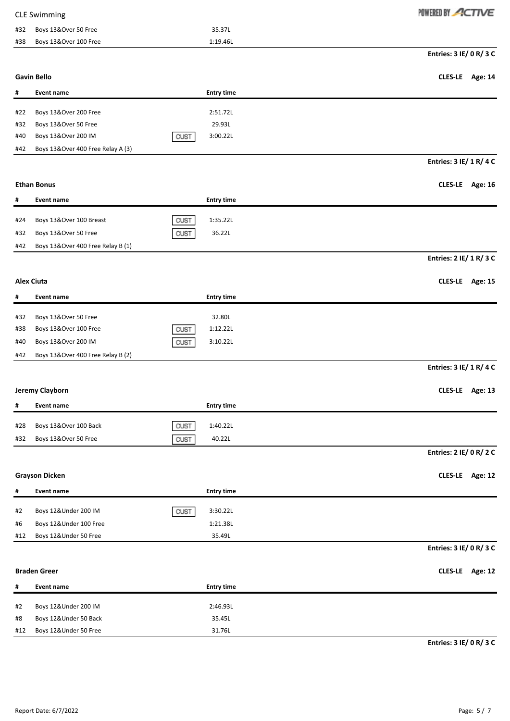|     | <b>CLE Swimming</b>               |                   | POWERED BY ACTIVE       |
|-----|-----------------------------------|-------------------|-------------------------|
| #32 | Boys 13&Over 50 Free              | 35.37L            |                         |
| #38 | Boys 13&Over 100 Free             | 1:19.46L          |                         |
|     |                                   |                   | Entries: 3 IE/ 0 R/ 3 C |
|     | <b>Gavin Bello</b>                |                   | CLES-LE Age: 14         |
| #   | <b>Event name</b>                 | <b>Entry time</b> |                         |
| #22 | Boys 13&Over 200 Free             | 2:51.72L          |                         |
| #32 | Boys 13&Over 50 Free              | 29.93L            |                         |
| #40 | Boys 13&Over 200 IM               | 3:00.22L<br>CUST  |                         |
| #42 | Boys 13&Over 400 Free Relay A (3) |                   |                         |
|     |                                   |                   | Entries: 3 IE/ 1 R/ 4 C |
|     | <b>Ethan Bonus</b>                |                   | CLES-LE Age: 16         |
| #   | <b>Event name</b>                 | <b>Entry time</b> |                         |
|     |                                   |                   |                         |
| #24 | Boys 13&Over 100 Breast           | CUST<br>1:35.22L  |                         |
| #32 | Boys 13&Over 50 Free              | CUST<br>36.22L    |                         |
| #42 | Boys 13&Over 400 Free Relay B (1) |                   |                         |
|     |                                   |                   | Entries: 2 IE/ 1 R/ 3 C |
|     | <b>Alex Ciuta</b>                 |                   | CLES-LE Age: 15         |
| #   | <b>Event name</b>                 | <b>Entry time</b> |                         |
| #32 | Boys 13&Over 50 Free              | 32.80L            |                         |
| #38 | Boys 13&Over 100 Free             | 1:12.22L<br>CUST  |                         |
| #40 | Boys 13&Over 200 IM               | CUST<br>3:10.22L  |                         |
| #42 | Boys 13&Over 400 Free Relay B (2) |                   |                         |
|     |                                   |                   | Entries: 3 IE/ 1 R/ 4 C |
|     |                                   |                   |                         |
|     | Jeremy Clayborn                   |                   | CLES-LE Age: 13         |
| #   | <b>Event name</b>                 | <b>Entry time</b> |                         |
| #28 | Boys 13&Over 100 Back             | CUST<br>1:40.22L  |                         |
| #32 | Boys 13&Over 50 Free              | 40.22L<br>CUST    |                         |
|     |                                   |                   | Entries: 2 IE/ 0 R/ 2 C |
|     | <b>Grayson Dicken</b>             |                   | CLES-LE Age: 12         |
| #   | <b>Event name</b>                 | <b>Entry time</b> |                         |
|     |                                   |                   |                         |
| #2  | Boys 12&Under 200 IM              | 3:30.22L<br>CUST  |                         |
| #6  | Boys 12&Under 100 Free            | 1:21.38L          |                         |
| #12 | Boys 12&Under 50 Free             | 35.49L            | Entries: 3 IE/ 0 R/ 3 C |
|     |                                   |                   |                         |
|     | <b>Braden Greer</b>               |                   | CLES-LE Age: 12         |
| #   | <b>Event name</b>                 | <b>Entry time</b> |                         |
| #2  | Boys 12&Under 200 IM              | 2:46.93L          |                         |
| #8  | Boys 12&Under 50 Back             | 35.45L            |                         |
| #12 | Boys 12&Under 50 Free             | 31.76L            |                         |

**Entries: 3 IE/ 0 R/ 3 C**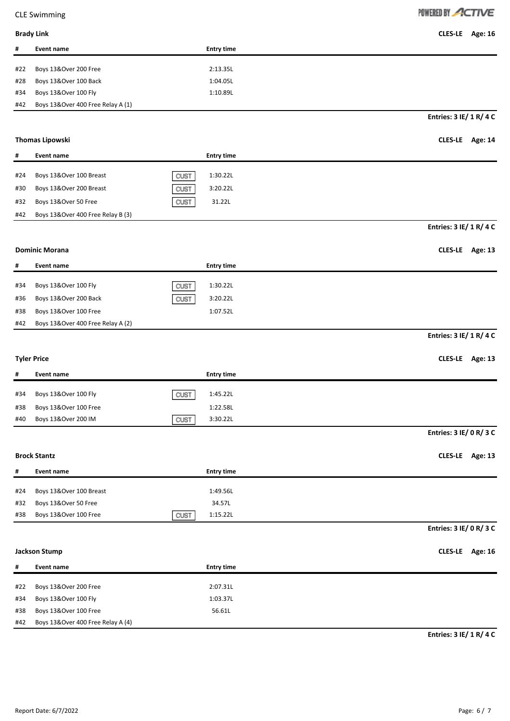# POWERED BY ACTIVE

| <b>Brady Link</b> | CLES-LE Age: 16 |
|-------------------|-----------------|
|                   |                 |

| #   | Event name                        | <b>Entry time</b> |
|-----|-----------------------------------|-------------------|
|     |                                   |                   |
| #22 | Boys 13&Over 200 Free             | 2:13.35L          |
| #28 | Boys 13&Over 100 Back             | 1:04.05L          |
| #34 | Boys 13&Over 100 Fly              | 1:10.89L          |
| #42 | Boys 13&Over 400 Free Relay A (1) |                   |
|     |                                   |                   |

**Entries: 3 IE/ 1 R/ 4 C**

# **Thomas Lipowski CLES-LE Age: 14**

| #   | Event name                        |      | <b>Entry time</b> |
|-----|-----------------------------------|------|-------------------|
| #24 | Boys 13&Over 100 Breast           | CUST | 1:30.22L          |
| #30 | Boys 13&Over 200 Breast           | CUST | 3:20.22L          |
| #32 | Boys 13&Over 50 Free              | CUST | 31.22L            |
| #42 | Boys 13&Over 400 Free Relay B (3) |      |                   |

# **Entries: 3 IE/ 1 R/ 4 C**

**Dominic Morana CLES-LE Age: 13**

| #   | Event name                        |      | <b>Entry time</b> |
|-----|-----------------------------------|------|-------------------|
| #34 | Boys 13&Over 100 Fly              | CUST | 1:30.22L          |
| #36 | Boys 13&Over 200 Back             | CUST | 3:20.22L          |
| #38 | Boys 13&Over 100 Free             |      | 1:07.52L          |
| #42 | Boys 13&Over 400 Free Relay A (2) |      |                   |

# **Entries: 3 IE/ 1 R/ 4 C**

| <b>Tyler Price</b> |                       |      | CLES-LE Age: 13   |  |  |
|--------------------|-----------------------|------|-------------------|--|--|
| #                  | Event name            |      | <b>Entry time</b> |  |  |
| #34                | Boys 13&Over 100 Fly  | CUST | 1:45.22L          |  |  |
| #38                | Boys 13&Over 100 Free |      | 1:22.58L          |  |  |
| #40                | Boys 13&Over 200 IM   | CUST | 3:30.22L          |  |  |

# **Entries: 3 IE/ 0 R/ 3 C**

# **Brock Stantz CLES-LE Age: 13**

| #   | Event name                  |             | <b>Entry time</b> |
|-----|-----------------------------|-------------|-------------------|
|     |                             |             |                   |
|     | #24 Boys 13&Over 100 Breast |             | 1:49.56L          |
| #32 | Boys 13&Over 50 Free        |             | 34.57L            |
| #38 | Boys 13&Over 100 Free       | <b>CUST</b> | 1:15.22L          |

# **Entries: 3 IE/ 0 R/ 3 C**

# **Jackson Stump CLES-LE Age: 16**

| #   | Event name                        | <b>Entry time</b> |
|-----|-----------------------------------|-------------------|
|     |                                   |                   |
| #22 | Boys 13&Over 200 Free             | 2:07.31L          |
| #34 | Boys 13&Over 100 Fly              | 1:03.37L          |
| #38 | Boys 13&Over 100 Free             | 56.61L            |
| #42 | Boys 13&Over 400 Free Relay A (4) |                   |

**Entries: 3 IE/ 1 R/ 4 C**